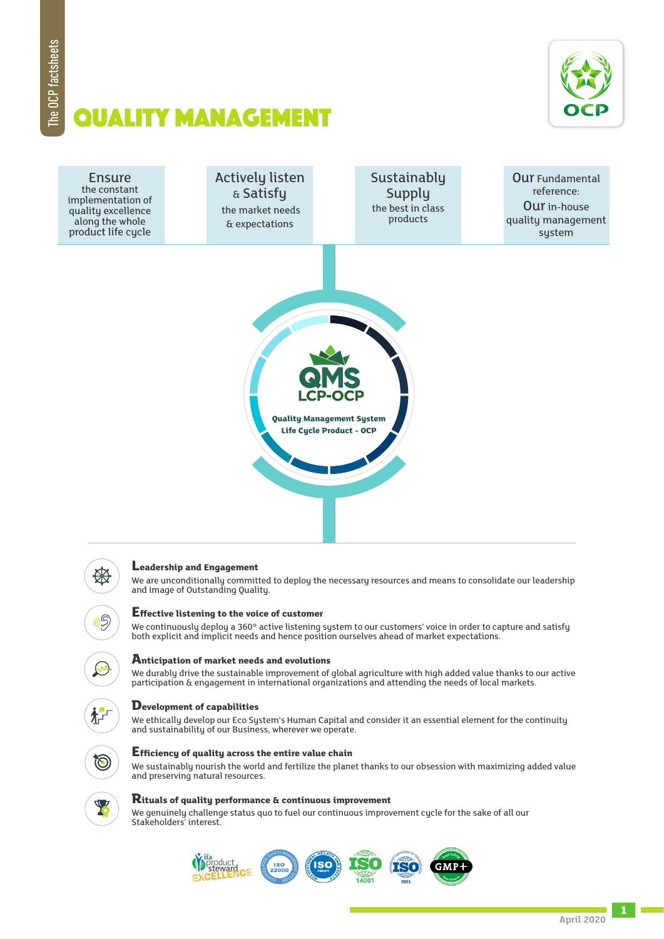

# Quality management



## **Leadership and Engagement**

We are unconditionally committed to deploy the necessary resources and means to consolidate our leadership and image of Outstanding Quality.

#### **Effective listening to the voice of customer**

We continuously deploy a 360° active listening system to our customers' voice in order to capture and satisfy both explicit and implicit needs and hence position ourselves ahead of market expectations.

#### **Anticipation of market needs and evolutions**

We durably drive the sustainable improvement of global agriculture with high added value thanks to our active participation & engagement in international organizations and attending the needs of local markets.

## **Development of capabilities**

We ethically develop our Eco System's Human Capital and consider it an essential element for the continuity and sustainability of our Business, wherever we operate.



栌

 $\mathcal{G}$ 

#### **Efficiency of quality across the entire value chain**

We sustainably nourish the world and fertilize the planet thanks to our obsession with maximizing added value and preserving natural resources.



#### **Rituals of quality performance & continuous improvement**

We genuinely challenge status quo to fuel our continuous improvement cycle for the sake of all our Stakeholders' interest.



**1**